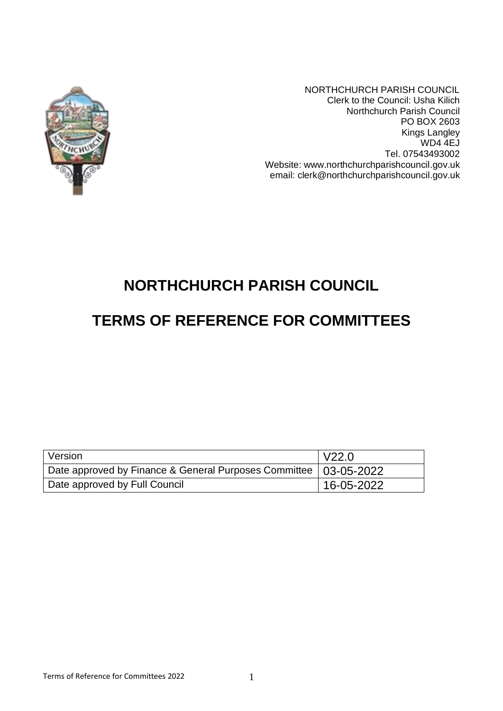

NORTHCHURCH PARISH COUNCIL Clerk to the Council: Usha Kilich Northchurch Parish Council PO BOX 2603 Kings Langley WD4 4EJ Tel. 07543493002 Website: www.northchurchparishcouncil.gov.uk email: clerk@northchurchparishcouncil.gov.uk

# **NORTHCHURCH PARISH COUNCIL**

# **TERMS OF REFERENCE FOR COMMITTEES**

| Version                                                            | l V22.0    |
|--------------------------------------------------------------------|------------|
| Date approved by Finance & General Purposes Committee   03-05-2022 |            |
| Date approved by Full Council                                      | 16-05-2022 |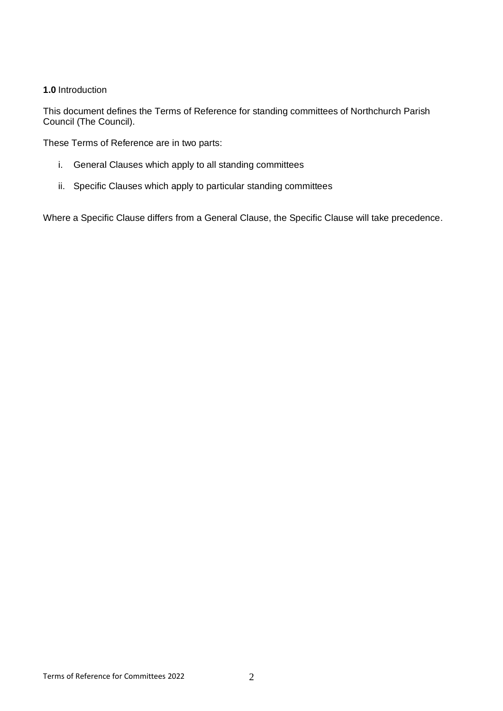## **1.0** Introduction

This document defines the Terms of Reference for standing committees of Northchurch Parish Council (The Council).

These Terms of Reference are in two parts:

- i. General Clauses which apply to all standing committees
- ii. Specific Clauses which apply to particular standing committees

Where a Specific Clause differs from a General Clause, the Specific Clause will take precedence.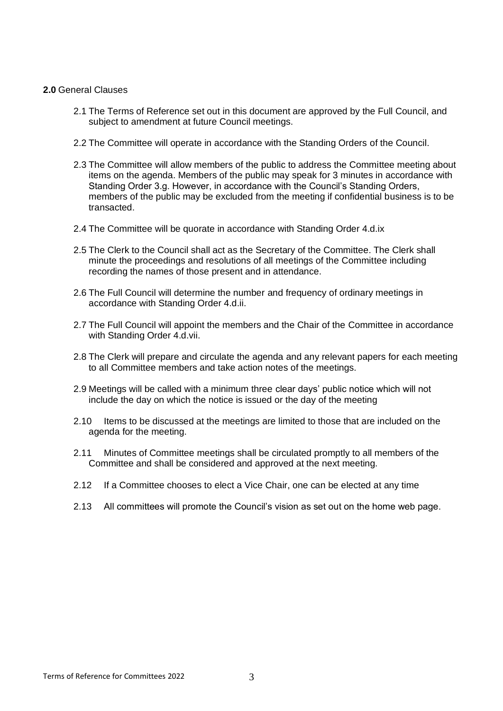#### **2.0** General Clauses

- 2.1 The Terms of Reference set out in this document are approved by the Full Council, and subject to amendment at future Council meetings.
- 2.2 The Committee will operate in accordance with the Standing Orders of the Council.
- 2.3 The Committee will allow members of the public to address the Committee meeting about items on the agenda. Members of the public may speak for 3 minutes in accordance with Standing Order 3.g. However, in accordance with the Council's Standing Orders, members of the public may be excluded from the meeting if confidential business is to be transacted.
- 2.4 The Committee will be quorate in accordance with Standing Order 4.d.ix
- 2.5 The Clerk to the Council shall act as the Secretary of the Committee. The Clerk shall minute the proceedings and resolutions of all meetings of the Committee including recording the names of those present and in attendance.
- 2.6 The Full Council will determine the number and frequency of ordinary meetings in accordance with Standing Order 4.d.ii.
- 2.7 The Full Council will appoint the members and the Chair of the Committee in accordance with Standing Order 4.d.vii.
- 2.8 The Clerk will prepare and circulate the agenda and any relevant papers for each meeting to all Committee members and take action notes of the meetings.
- 2.9 Meetings will be called with a minimum three clear days' public notice which will not include the day on which the notice is issued or the day of the meeting
- 2.10 Items to be discussed at the meetings are limited to those that are included on the agenda for the meeting.
- 2.11 Minutes of Committee meetings shall be circulated promptly to all members of the Committee and shall be considered and approved at the next meeting.
- 2.12 If a Committee chooses to elect a Vice Chair, one can be elected at any time
- 2.13 All committees will promote the Council's vision as set out on the home web page.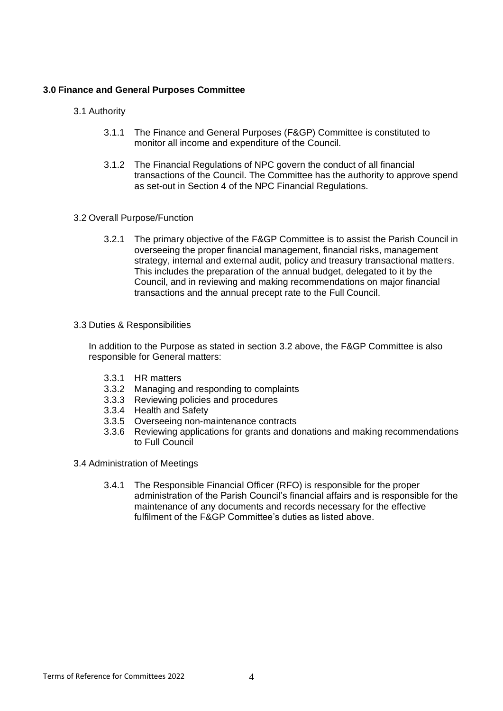### **3.0 Finance and General Purposes Committee**

- 3.1 Authority
	- 3.1.1 The Finance and General Purposes (F&GP) Committee is constituted to monitor all income and expenditure of the Council.
	- 3.1.2 The Financial Regulations of NPC govern the conduct of all financial transactions of the Council. The Committee has the authority to approve spend as set-out in Section 4 of the NPC Financial Regulations.
- 3.2 Overall Purpose/Function
	- 3.2.1 The primary objective of the F&GP Committee is to assist the Parish Council in overseeing the proper financial management, financial risks, management strategy, internal and external audit, policy and treasury transactional matters. This includes the preparation of the annual budget, delegated to it by the Council, and in reviewing and making recommendations on major financial transactions and the annual precept rate to the Full Council.
- 3.3 Duties & Responsibilities

In addition to the Purpose as stated in section 3.2 above, the F&GP Committee is also responsible for General matters:

- 3.3.1 HR matters
- 3.3.2 Managing and responding to complaints
- 3.3.3 Reviewing policies and procedures
- 3.3.4 Health and Safety
- 3.3.5 Overseeing non-maintenance contracts
- 3.3.6 Reviewing applications for grants and donations and making recommendations to Full Council
- 3.4 Administration of Meetings
	- 3.4.1 The Responsible Financial Officer (RFO) is responsible for the proper administration of the Parish Council's financial affairs and is responsible for the maintenance of any documents and records necessary for the effective fulfilment of the F&GP Committee's duties as listed above.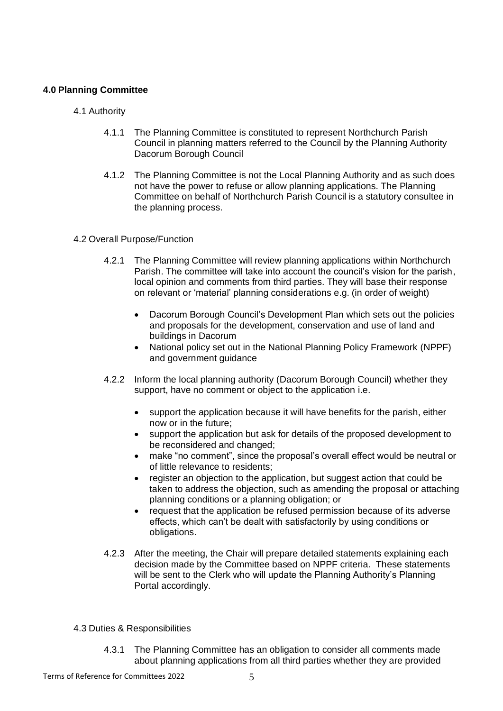## **4.0 Planning Committee**

- 4.1 Authority
	- 4.1.1 The Planning Committee is constituted to represent Northchurch Parish Council in planning matters referred to the Council by the Planning Authority Dacorum Borough Council
	- 4.1.2 The Planning Committee is not the Local Planning Authority and as such does not have the power to refuse or allow planning applications. The Planning Committee on behalf of Northchurch Parish Council is a statutory consultee in the planning process.

## 4.2 Overall Purpose/Function

- 4.2.1 The Planning Committee will review planning applications within Northchurch Parish. The committee will take into account the council's vision for the parish, local opinion and comments from third parties. They will base their response on relevant or 'material' planning considerations e.g. (in order of weight)
	- Dacorum Borough Council's Development Plan which sets out the policies and proposals for the development, conservation and use of land and buildings in Dacorum
	- National policy set out in the National Planning Policy Framework (NPPF) and government guidance
- 4.2.2 Inform the local planning authority (Dacorum Borough Council) whether they support, have no comment or object to the application i.e.
	- support the application because it will have benefits for the parish, either now or in the future;
	- support the application but ask for details of the proposed development to be reconsidered and changed;
	- make "no comment", since the proposal's overall effect would be neutral or of little relevance to residents;
	- register an objection to the application, but suggest action that could be taken to address the objection, such as amending the proposal or attaching planning conditions or a planning obligation; or
	- request that the application be refused permission because of its adverse effects, which can't be dealt with satisfactorily by using conditions or obligations.
- 4.2.3 After the meeting, the Chair will prepare detailed statements explaining each decision made by the Committee based on NPPF criteria. These statements will be sent to the Clerk who will update the Planning Authority's Planning Portal accordingly.

## 4.3 Duties & Responsibilities

4.3.1 The Planning Committee has an obligation to consider all comments made about planning applications from all third parties whether they are provided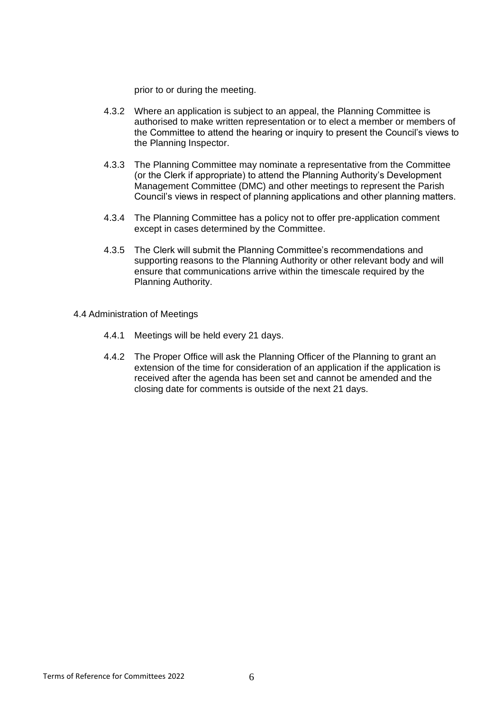prior to or during the meeting.

- 4.3.2 Where an application is subject to an appeal, the Planning Committee is authorised to make written representation or to elect a member or members of the Committee to attend the hearing or inquiry to present the Council's views to the Planning Inspector.
- 4.3.3 The Planning Committee may nominate a representative from the Committee (or the Clerk if appropriate) to attend the Planning Authority's Development Management Committee (DMC) and other meetings to represent the Parish Council's views in respect of planning applications and other planning matters.
- 4.3.4 The Planning Committee has a policy not to offer pre-application comment except in cases determined by the Committee.
- 4.3.5 The Clerk will submit the Planning Committee's recommendations and supporting reasons to the Planning Authority or other relevant body and will ensure that communications arrive within the timescale required by the Planning Authority.
- 4.4 Administration of Meetings
	- 4.4.1 Meetings will be held every 21 days.
	- 4.4.2 The Proper Office will ask the Planning Officer of the Planning to grant an extension of the time for consideration of an application if the application is received after the agenda has been set and cannot be amended and the closing date for comments is outside of the next 21 days.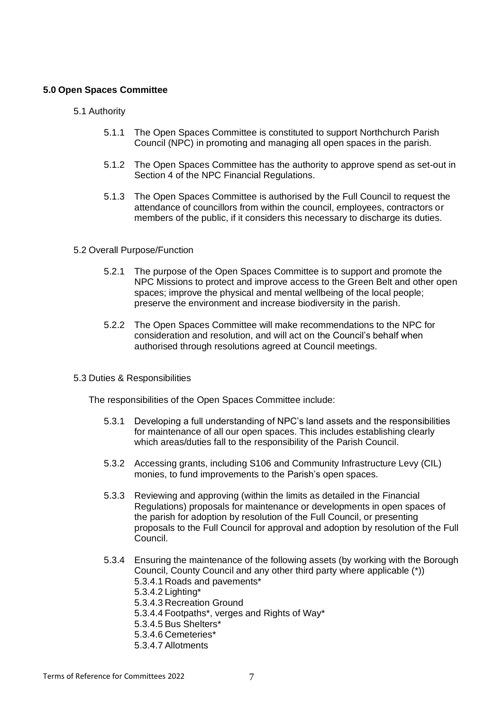### **5.0 Open Spaces Committee**

- 5.1 Authority
	- 5.1.1 The Open Spaces Committee is constituted to support Northchurch Parish Council (NPC) in promoting and managing all open spaces in the parish.
	- 5.1.2 The Open Spaces Committee has the authority to approve spend as set-out in Section 4 of the NPC Financial Regulations.
	- 5.1.3 The Open Spaces Committee is authorised by the Full Council to request the attendance of councillors from within the council, employees, contractors or members of the public, if it considers this necessary to discharge its duties.

#### 5.2 Overall Purpose/Function

- 5.2.1 The purpose of the Open Spaces Committee is to support and promote the NPC Missions to protect and improve access to the Green Belt and other open spaces; improve the physical and mental wellbeing of the local people; preserve the environment and increase biodiversity in the parish.
- 5.2.2 The Open Spaces Committee will make recommendations to the NPC for consideration and resolution, and will act on the Council's behalf when authorised through resolutions agreed at Council meetings.
- 5.3 Duties & Responsibilities

The responsibilities of the Open Spaces Committee include:

- 5.3.1 Developing a full understanding of NPC's land assets and the responsibilities for maintenance of all our open spaces. This includes establishing clearly which areas/duties fall to the responsibility of the Parish Council.
- 5.3.2 Accessing grants, including S106 and Community Infrastructure Levy (CIL) monies, to fund improvements to the Parish's open spaces.
- 5.3.3 Reviewing and approving (within the limits as detailed in the Financial Regulations) proposals for maintenance or developments in open spaces of the parish for adoption by resolution of the Full Council, or presenting proposals to the Full Council for approval and adoption by resolution of the Full Council.
- 5.3.4 Ensuring the maintenance of the following assets (by working with the Borough Council, County Council and any other third party where applicable (\*)) 5.3.4.1 Roads and pavements\* 5.3.4.2 Lighting\* 5.3.4.3 Recreation Ground 5.3.4.4 Footpaths\*, verges and Rights of Way\* 5.3.4.5 Bus Shelters\* 5.3.4.6 Cemeteries\* 5.3.4.7 Allotments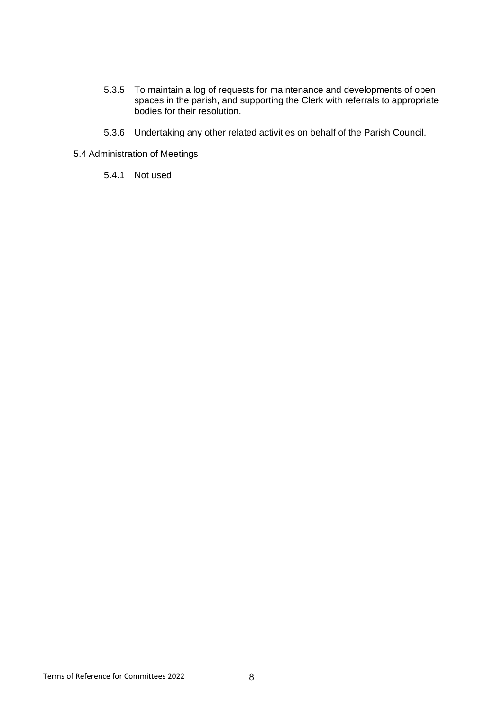- 5.3.5 To maintain a log of requests for maintenance and developments of open spaces in the parish, and supporting the Clerk with referrals to appropriate bodies for their resolution.
- 5.3.6 Undertaking any other related activities on behalf of the Parish Council.
- 5.4 Administration of Meetings
	- 5.4.1 Not used